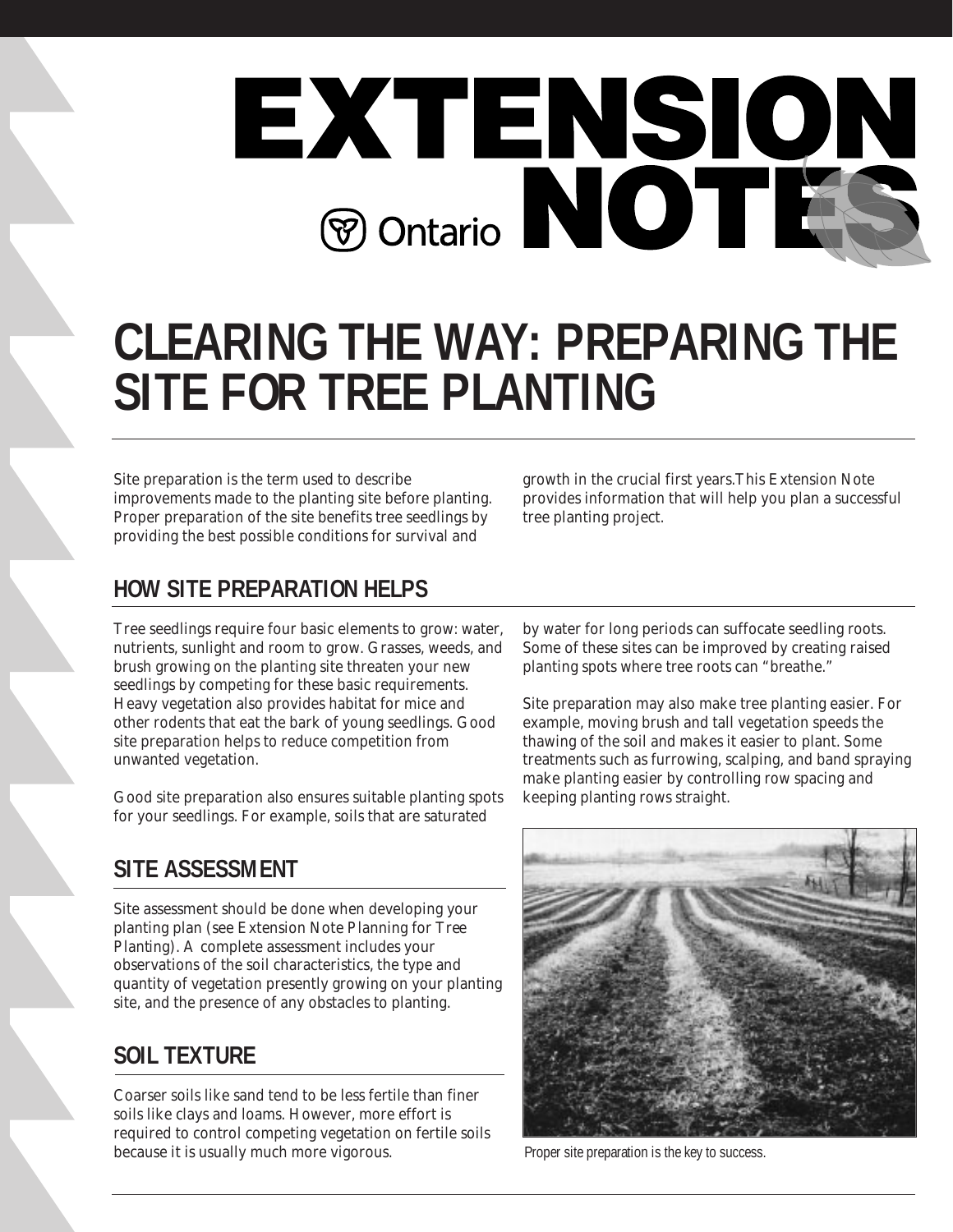

# **CLEARING THE WAY: PREPARING THE SITE FOR TREE PLANTING**

Site preparation is the term used to describe improvements made to the planting site before planting. Proper preparation of the site benefits tree seedlings by providing the best possible conditions for survival and

growth in the crucial first years.This Extension Note provides information that will help you plan a successful tree planting project.

# **HOW SITE PREPARATION HELPS**

Tree seedlings require four basic elements to grow: water, nutrients, sunlight and room to grow. Grasses, weeds, and brush growing on the planting site threaten your new seedlings by competing for these basic requirements. Heavy vegetation also provides habitat for mice and other rodents that eat the bark of young seedlings. Good site preparation helps to reduce competition from unwanted vegetation.

Good site preparation also ensures suitable planting spots for your seedlings. For example, soils that are saturated

## **SITE ASSESSMENT**

Site assessment should be done when developing your planting plan (see Extension Note *Planning for Tree Planting*). A complete assessment includes your observations of the soil characteristics, the type and quantity of vegetation presently growing on your planting site, and the presence of any obstacles to planting.

# **SOIL TEXTURE**

Coarser soils like sand tend to be less fertile than finer soils like clays and loams. However, more effort is required to control competing vegetation on fertile soils because it is usually much more vigorous. Proper site preparation is the key to success.

by water for long periods can suffocate seedling roots. Some of these sites can be improved by creating raised planting spots where tree roots can "breathe."

Site preparation may also make tree planting easier. For example, moving brush and tall vegetation speeds the thawing of the soil and makes it easier to plant. Some treatments such as furrowing, scalping, and band spraying make planting easier by controlling row spacing and keeping planting rows straight.

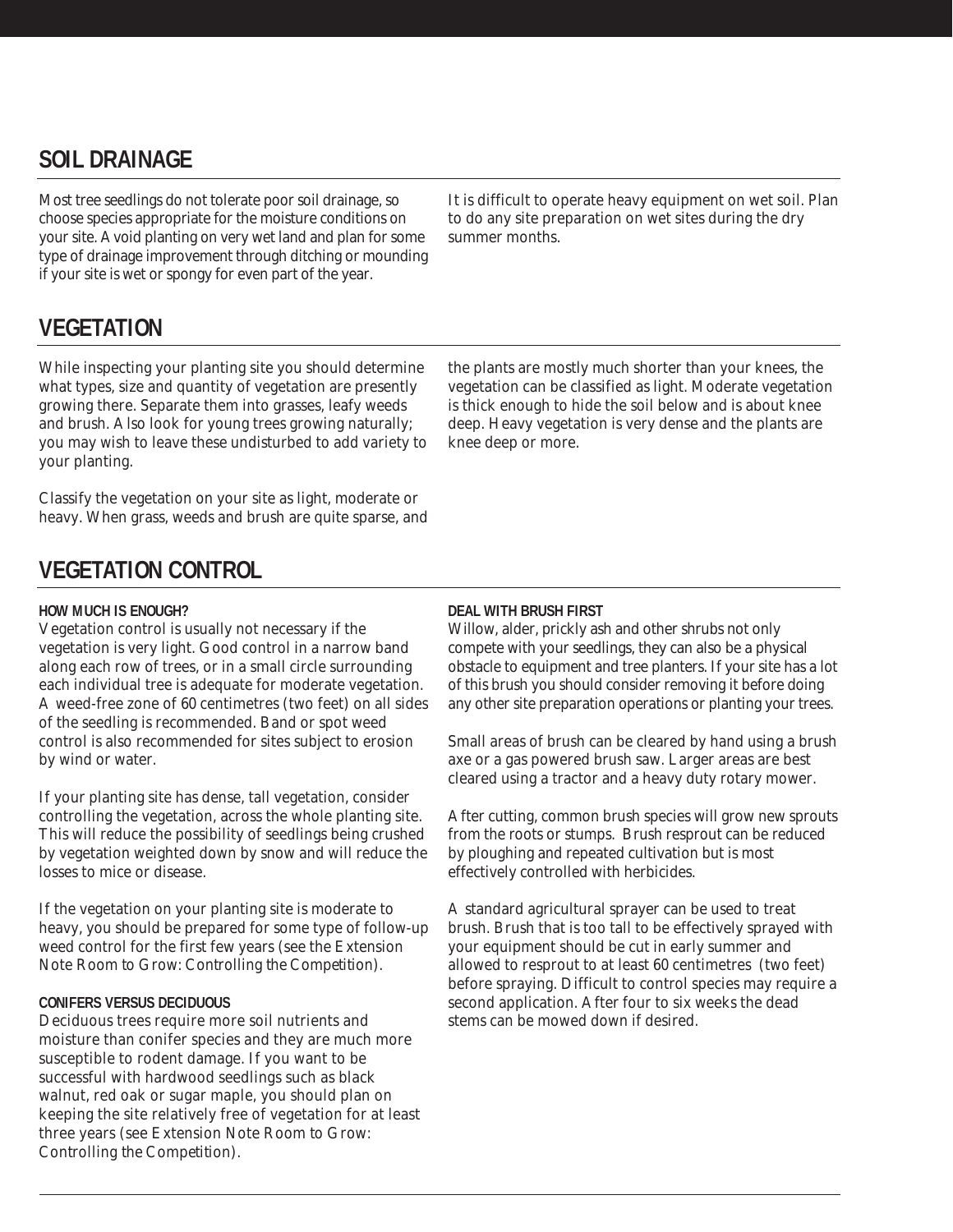## **SOIL DRAINAGE**

Most tree seedlings do not tolerate poor soil drainage, so choose species appropriate for the moisture conditions on your site. Avoid planting on very wet land and plan for some type of drainage improvement through ditching or mounding if your site is wet or spongy for even part of the year.

**VEGETATION**

While inspecting your planting site you should determine what types, size and quantity of vegetation are presently growing there. Separate them into grasses, leafy weeds and brush. Also look for young trees growing naturally; you may wish to leave these undisturbed to add variety to your planting.

Classify the vegetation on your site as light, moderate or heavy. When grass, weeds and brush are quite sparse, and It is difficult to operate heavy equipment on wet soil. Plan to do any site preparation on wet sites during the dry summer months.

the plants are mostly much shorter than your knees, the vegetation can be classified as light. Moderate vegetation is thick enough to hide the soil below and is about knee deep. Heavy vegetation is very dense and the plants are knee deep or more.

### **VEGETATION CONTROL**

#### **HOW MUCH IS ENOUGH?**

Vegetation control is usually not necessary if the vegetation is very light. Good control in a narrow band along each row of trees, or in a small circle surrounding each individual tree is adequate for moderate vegetation. A weed-free zone of 60 centimetres (two feet) on all sides of the seedling is recommended. Band or spot weed control is also recommended for sites subject to erosion by wind or water.

If your planting site has dense, tall vegetation, consider controlling the vegetation, across the whole planting site. This will reduce the possibility of seedlings being crushed by vegetation weighted down by snow and will reduce the losses to mice or disease.

If the vegetation on your planting site is moderate to heavy, you should be prepared for some type of follow-up weed control for the first few years (see the Extension Note *Room to Grow: Controlling the Competition).*

#### **CONIFERS VERSUS DECIDUOUS**

Deciduous trees require more soil nutrients and moisture than conifer species and they are much more susceptible to rodent damage. If you want to be successful with hardwood seedlings such as black walnut, red oak or sugar maple, you should plan on keeping the site relatively free of vegetation for at least three years (see Extension Note *Room to Grow: Controlling the Competition*).

#### **DEAL WITH BRUSH FIRST**

Willow, alder, prickly ash and other shrubs not only compete with your seedlings, they can also be a physical obstacle to equipment and tree planters. If your site has a lot of this brush you should consider removing it before doing any other site preparation operations or planting your trees.

Small areas of brush can be cleared by hand using a brush axe or a gas powered brush saw. Larger areas are best cleared using a tractor and a heavy duty rotary mower.

After cutting, common brush species will grow new sprouts from the roots or stumps. Brush resprout can be reduced by ploughing and repeated cultivation but is most effectively controlled with herbicides.

A standard agricultural sprayer can be used to treat brush. Brush that is too tall to be effectively sprayed with your equipment should be cut in early summer and allowed to resprout to at least 60 centimetres (two feet) before spraying. Difficult to control species may require a second application. After four to six weeks the dead stems can be mowed down if desired.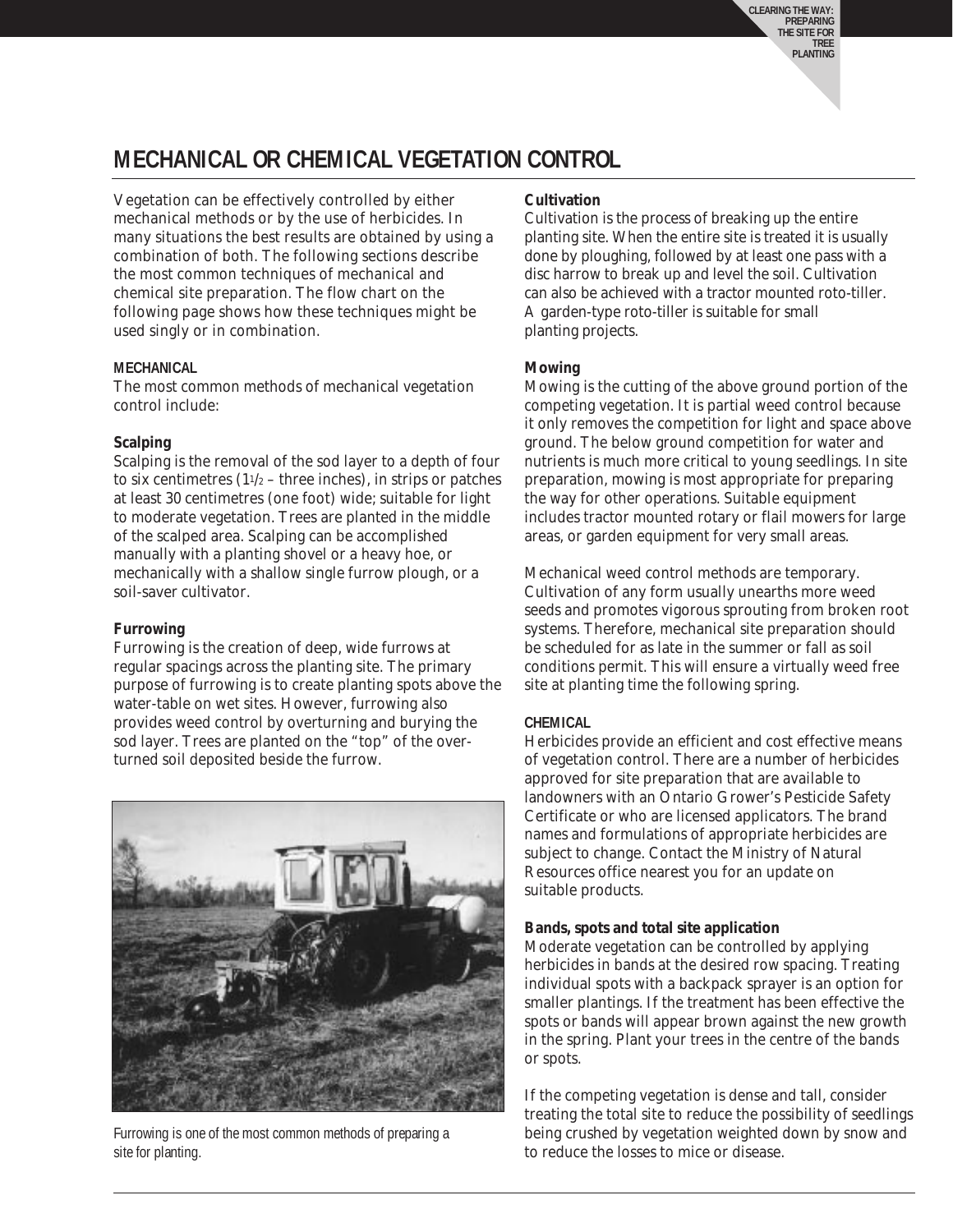**CLEARING THE WAY: PREPARING THE SITE FOR TREE PLANTING**

### **MECHANICAL OR CHEMICAL VEGETATION CONTROL**

Vegetation can be effectively controlled by either mechanical methods or by the use of herbicides. In many situations the best results are obtained by using a combination of both. The following sections describe the most common techniques of mechanical and chemical site preparation. The flow chart on the following page shows how these techniques might be used singly or in combination.

#### **MECHANICAL**

The most common methods of mechanical vegetation control include:

#### **Scalping**

Scalping is the removal of the sod layer to a depth of four to six centimetres  $(11/2 -$  three inches), in strips or patches at least 30 centimetres (one foot) wide; suitable for light to moderate vegetation. Trees are planted in the middle of the scalped area. Scalping can be accomplished manually with a planting shovel or a heavy hoe, or mechanically with a shallow single furrow plough, or a soil-saver cultivator.

#### **Furrowing**

Furrowing is the creation of deep, wide furrows at regular spacings across the planting site. The primary purpose of furrowing is to create planting spots above the water-table on wet sites. However, furrowing also provides weed control by overturning and burying the sod layer. Trees are planted on the "top" of the overturned soil deposited beside the furrow.



Furrowing is one of the most common methods of preparing a site for planting.

#### **Cultivation**

Cultivation is the process of breaking up the entire planting site. When the entire site is treated it is usually done by ploughing, followed by at least one pass with a disc harrow to break up and level the soil. Cultivation can also be achieved with a tractor mounted roto-tiller. A garden-type roto-tiller is suitable for small planting projects.

#### **Mowing**

Mowing is the cutting of the above ground portion of the competing vegetation. It is partial weed control because it only removes the competition for light and space above ground. The below ground competition for water and nutrients is much more critical to young seedlings. In site preparation, mowing is most appropriate for preparing the way for other operations. Suitable equipment includes tractor mounted rotary or flail mowers for large areas, or garden equipment for very small areas.

Mechanical weed control methods are temporary. Cultivation of any form usually unearths more weed seeds and promotes vigorous sprouting from broken root systems. Therefore, mechanical site preparation should be scheduled for as late in the summer or fall as soil conditions permit. This will ensure a virtually weed free site at planting time the following spring.

#### **CHEMICAL**

Herbicides provide an efficient and cost effective means of vegetation control. There are a number of herbicides approved for site preparation that are available to landowners with an Ontario Grower's Pesticide Safety Certificate or who are licensed applicators. The brand names and formulations of appropriate herbicides are subject to change. Contact the Ministry of Natural Resources office nearest you for an update on suitable products.

#### **Bands, spots and total site application**

Moderate vegetation can be controlled by applying herbicides in bands at the desired row spacing. Treating individual spots with a backpack sprayer is an option for smaller plantings. If the treatment has been effective the spots or bands will appear brown against the new growth in the spring. Plant your trees in the centre of the bands or spots.

If the competing vegetation is dense and tall, consider treating the total site to reduce the possibility of seedlings being crushed by vegetation weighted down by snow and to reduce the losses to mice or disease.